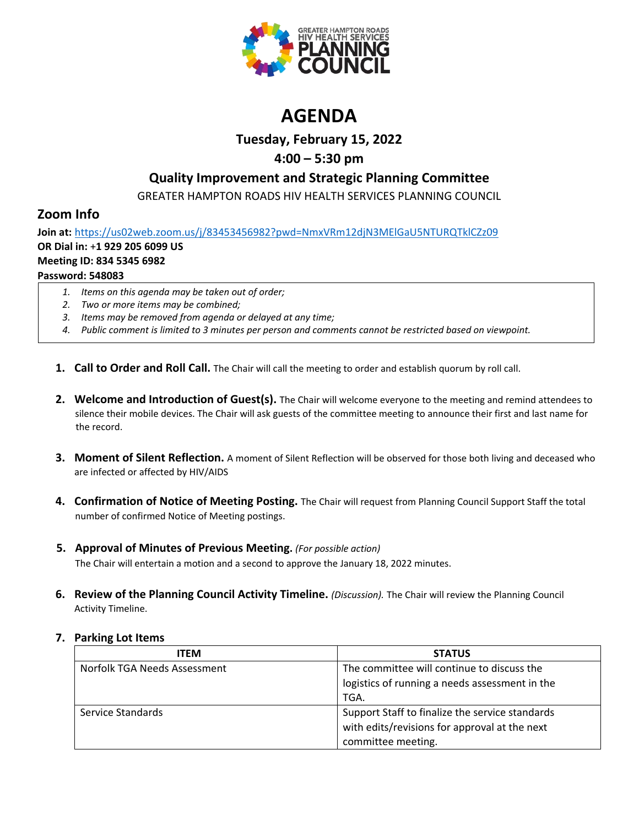

# **AGENDA**

### **Tuesday, February 15, 2022**

## **4:00 – 5:30 pm**

## **Quality Improvement and Strategic Planning Committee**

GREATER HAMPTON ROADS HIV HEALTH SERVICES PLANNING COUNCIL

## **Zoom Info**

**Join at:** <https://us02web.zoom.us/j/83453456982?pwd=NmxVRm12djN3MElGaU5NTURQTklCZz09> **OR Dial in:** +**1 929 205 6099 US Meeting ID: 834 5345 6982 Password: 548083**

- *1. Items on this agenda may be taken out of order;*
- *2. Two or more items may be combined;*
- *3. Items may be removed from agenda or delayed at any time;*
- *4. Public comment is limited to 3 minutes per person and comments cannot be restricted based on viewpoint.*
- **1. Call to Order and Roll Call.** The Chair will call the meeting to order and establish quorum by roll call.
- **2. Welcome and Introduction of Guest(s).** The Chair will welcome everyone to the meeting and remind attendees to silence their mobile devices. The Chair will ask guests of the committee meeting to announce their first and last name for the record.
- **3. Moment of Silent Reflection.** A moment of Silent Reflection will be observed for those both living and deceased who are infected or affected by HIV/AIDS
- **4. Confirmation of Notice of Meeting Posting.** The Chair will request from Planning Council Support Staff the total number of confirmed Notice of Meeting postings.
- **5. Approval of Minutes of Previous Meeting.** *(For possible action)*

The Chair will entertain a motion and a second to approve the January 18, 2022 minutes.

**6. Review of the Planning Council Activity Timeline.** *(Discussion).* The Chair will review the Planning Council Activity Timeline.

#### **7. Parking Lot Items**

| <b>ITEM</b>                  | <b>STATUS</b>                                   |
|------------------------------|-------------------------------------------------|
| Norfolk TGA Needs Assessment | The committee will continue to discuss the      |
|                              | logistics of running a needs assessment in the  |
|                              | TGA.                                            |
| Service Standards            | Support Staff to finalize the service standards |
|                              | with edits/revisions for approval at the next   |
|                              | committee meeting.                              |